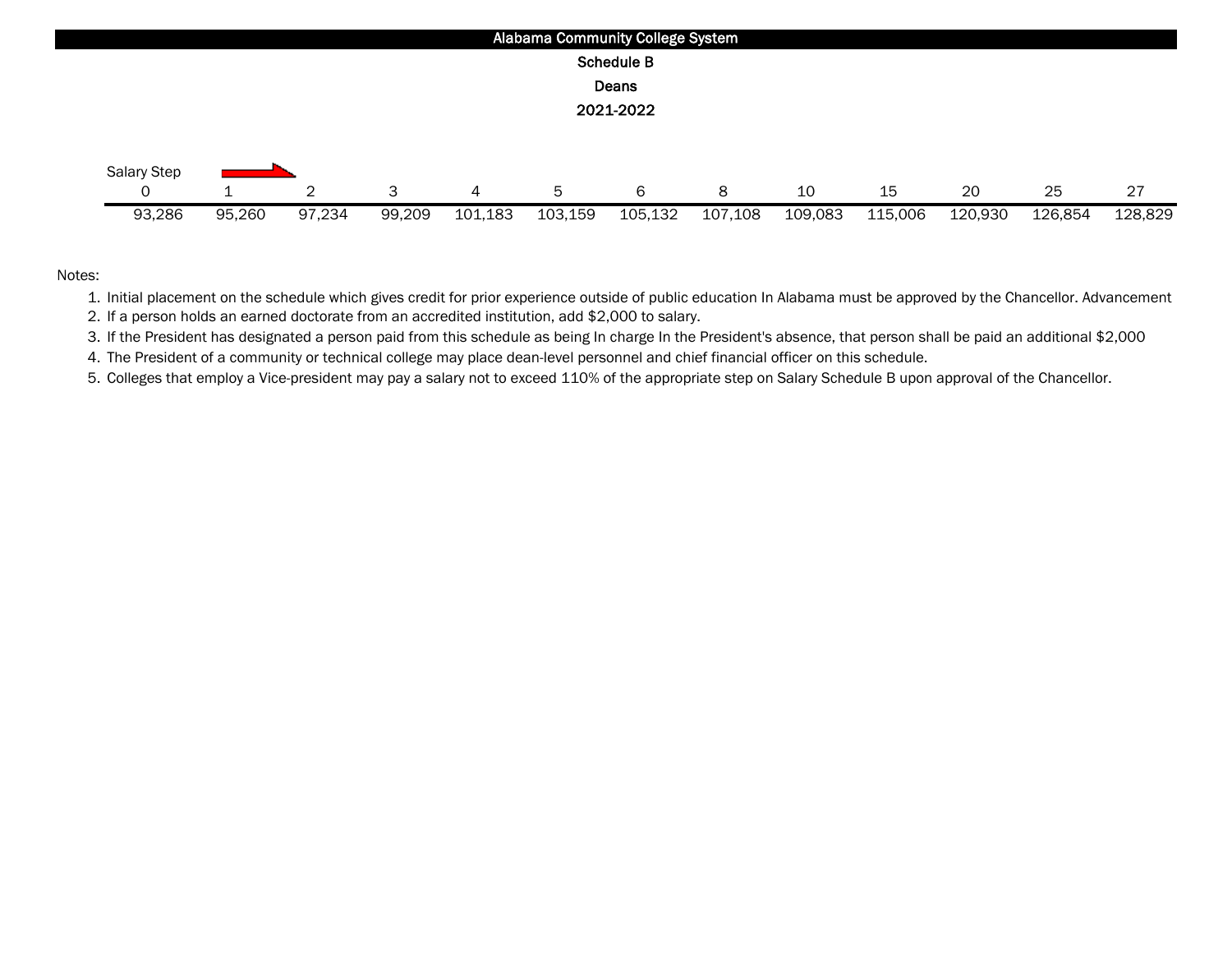

1. Initial placement on the schedule which gives credit for prior experience outside of public education In Alabama must be approved by the Chancellor. Advancement

2. If a person holds an earned doctorate from an accredited institution, add \$2,000 to salary.

3. If the President has designated a person paid from this schedule as being In charge In the President's absence, that person shall be paid an additional \$2,000

4. The President of a community or technical college may place dean-level personnel and chief financial officer on this schedule.

5. Colleges that employ a Vice-president may pay a salary not to exceed 110% of the appropriate step on Salary Schedule B upon approval of the Chancellor.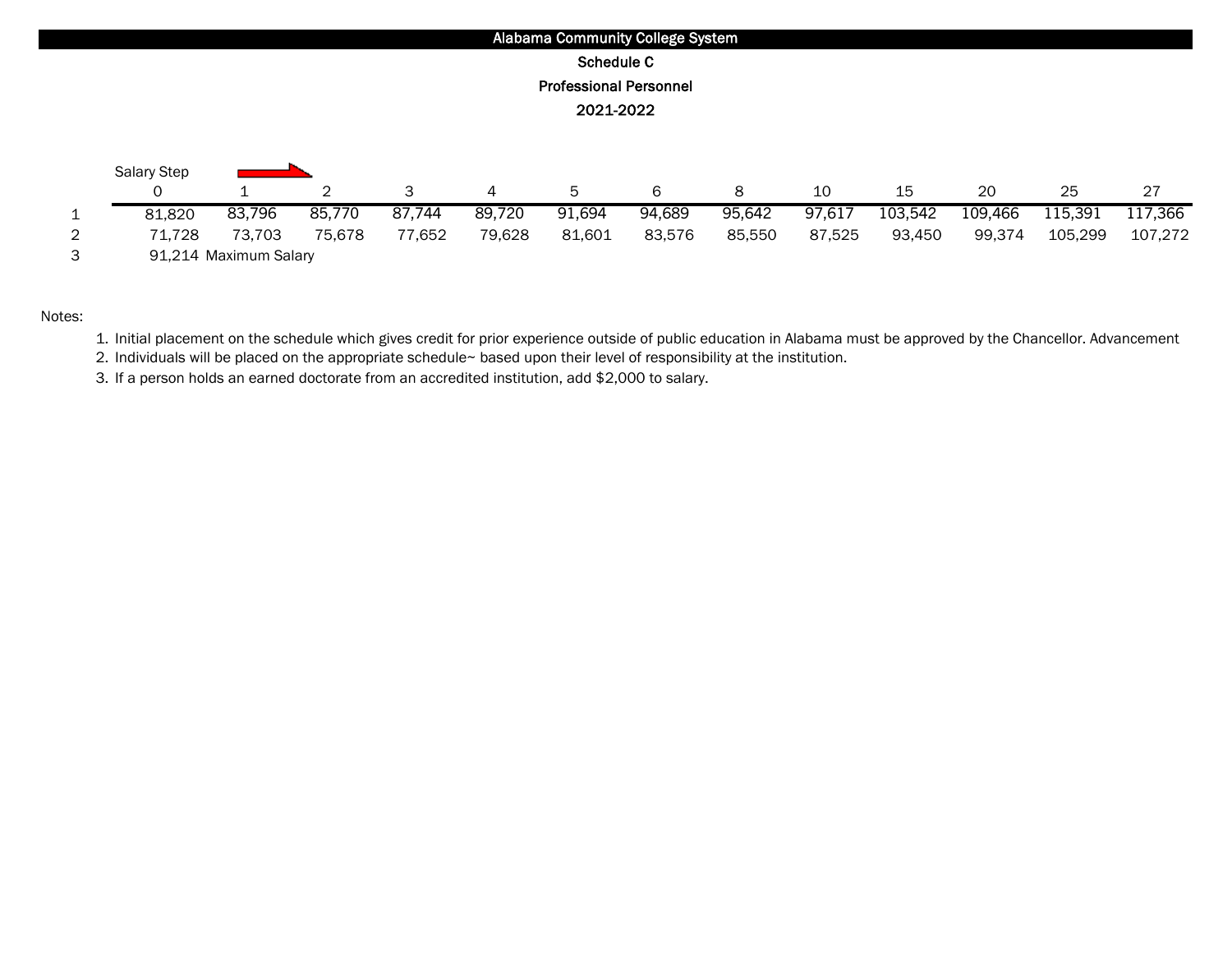

1. Initial placement on the schedule which gives credit for prior experience outside of public education in Alabama must be approved by the Chancellor. Advancement

2. Individuals will be placed on the appropriate schedule~ based upon their level of responsibility at the institution.

3. If a person holds an earned doctorate from an accredited institution, add \$2,000 to salary.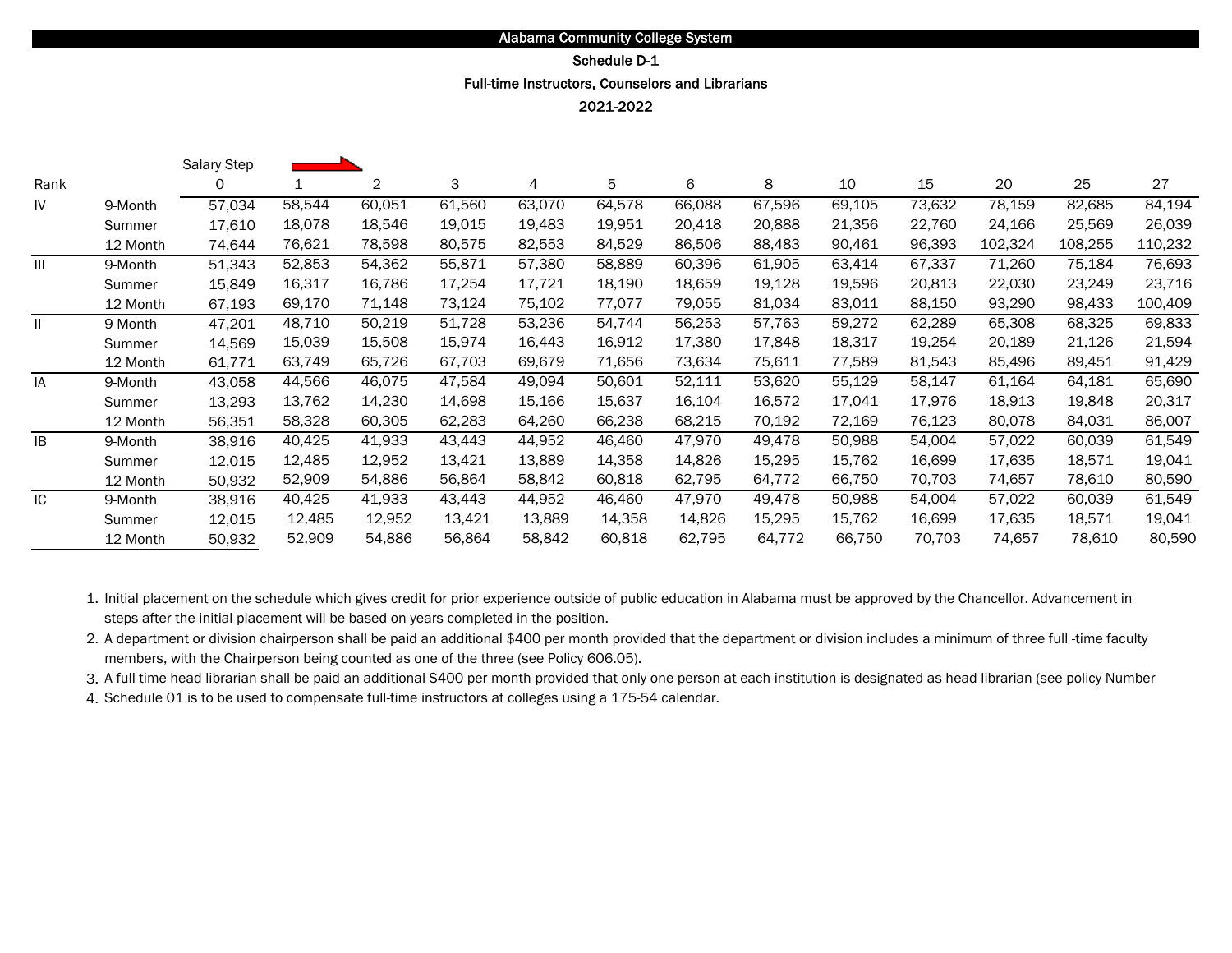# Schedule D-1

# Full-time Instructors, Counselors and Librarians

2021-2022

|               |          | <b>Salary Step</b> |        |        |        |        |        |        |        |        |        |         |         |         |
|---------------|----------|--------------------|--------|--------|--------|--------|--------|--------|--------|--------|--------|---------|---------|---------|
| Rank          |          | 0                  |        | 2      | 3      | 4      | 5      | 6      | 8      | 10     | 15     | 20      | 25      | 27      |
| IV            | 9-Month  | 57,034             | 58,544 | 60,051 | 61,560 | 63,070 | 64,578 | 66,088 | 67,596 | 69,105 | 73,632 | 78,159  | 82,685  | 84,194  |
|               | Summer   | 17,610             | 18,078 | 18,546 | 19,015 | 19,483 | 19,951 | 20,418 | 20,888 | 21,356 | 22,760 | 24,166  | 25,569  | 26,039  |
|               | 12 Month | 74.644             | 76,621 | 78,598 | 80,575 | 82,553 | 84,529 | 86,506 | 88,483 | 90,461 | 96,393 | 102,324 | 108,255 | 110,232 |
| Ш             | 9-Month  | 51,343             | 52,853 | 54,362 | 55,871 | 57,380 | 58,889 | 60,396 | 61,905 | 63,414 | 67,337 | 71,260  | 75,184  | 76,693  |
|               | Summer   | 15,849             | 16,317 | 16,786 | 17,254 | 17,721 | 18,190 | 18,659 | 19,128 | 19,596 | 20,813 | 22,030  | 23,249  | 23,716  |
|               | 12 Month | 67,193             | 69,170 | 71,148 | 73,124 | 75,102 | 77,077 | 79,055 | 81,034 | 83,011 | 88,150 | 93,290  | 98,433  | 100,409 |
| $\mathbf{II}$ | 9-Month  | 47,201             | 48,710 | 50,219 | 51,728 | 53,236 | 54,744 | 56,253 | 57,763 | 59,272 | 62,289 | 65,308  | 68,325  | 69,833  |
|               | Summer   | 14,569             | 15,039 | 15,508 | 15,974 | 16,443 | 16,912 | 17,380 | 17,848 | 18,317 | 19,254 | 20,189  | 21,126  | 21,594  |
|               | 12 Month | 61,771             | 63,749 | 65,726 | 67,703 | 69,679 | 71,656 | 73,634 | 75,611 | 77,589 | 81,543 | 85,496  | 89,451  | 91,429  |
| IA            | 9-Month  | 43,058             | 44,566 | 46,075 | 47,584 | 49,094 | 50,601 | 52,111 | 53,620 | 55,129 | 58,147 | 61,164  | 64,181  | 65,690  |
|               | Summer   | 13,293             | 13,762 | 14,230 | 14,698 | 15,166 | 15,637 | 16,104 | 16,572 | 17,041 | 17,976 | 18,913  | 19,848  | 20,317  |
|               | 12 Month | 56,351             | 58,328 | 60,305 | 62,283 | 64,260 | 66,238 | 68,215 | 70,192 | 72,169 | 76,123 | 80,078  | 84,031  | 86,007  |
| IB            | 9-Month  | 38,916             | 40,425 | 41,933 | 43,443 | 44,952 | 46,460 | 47,970 | 49,478 | 50,988 | 54,004 | 57,022  | 60,039  | 61,549  |
|               | Summer   | 12,015             | 12,485 | 12,952 | 13,421 | 13,889 | 14,358 | 14,826 | 15,295 | 15,762 | 16,699 | 17,635  | 18,571  | 19,041  |
|               | 12 Month | 50,932             | 52,909 | 54,886 | 56,864 | 58,842 | 60,818 | 62,795 | 64,772 | 66,750 | 70,703 | 74,657  | 78,610  | 80,590  |
| IC            | 9-Month  | 38,916             | 40,425 | 41,933 | 43,443 | 44,952 | 46,460 | 47,970 | 49,478 | 50,988 | 54,004 | 57,022  | 60,039  | 61,549  |
|               | Summer   | 12,015             | 12,485 | 12,952 | 13,421 | 13,889 | 14,358 | 14,826 | 15,295 | 15,762 | 16,699 | 17,635  | 18,571  | 19,041  |
|               | 12 Month | 50,932             | 52,909 | 54,886 | 56,864 | 58,842 | 60,818 | 62,795 | 64,772 | 66,750 | 70,703 | 74,657  | 78,610  | 80,590  |

1. Initial placement on the schedule which gives credit for prior experience outside of public education in Alabama must be approved by the Chancellor. Advancement in steps after the initial placement will be based on years completed in the position.

2. A department or division chairperson shall be paid an additional \$400 per month provided that the department or division includes a minimum of three full -time faculty members, with the Chairperson being counted as one of the three (see Policy 606.05).

3. A full-time head librarian shall be paid an additional S400 per month provided that only one person at each institution is designated as head librarian (see policy Number

4. Schedule 01 is to be used to compensate full-time instructors at colleges using a 175-54 calendar.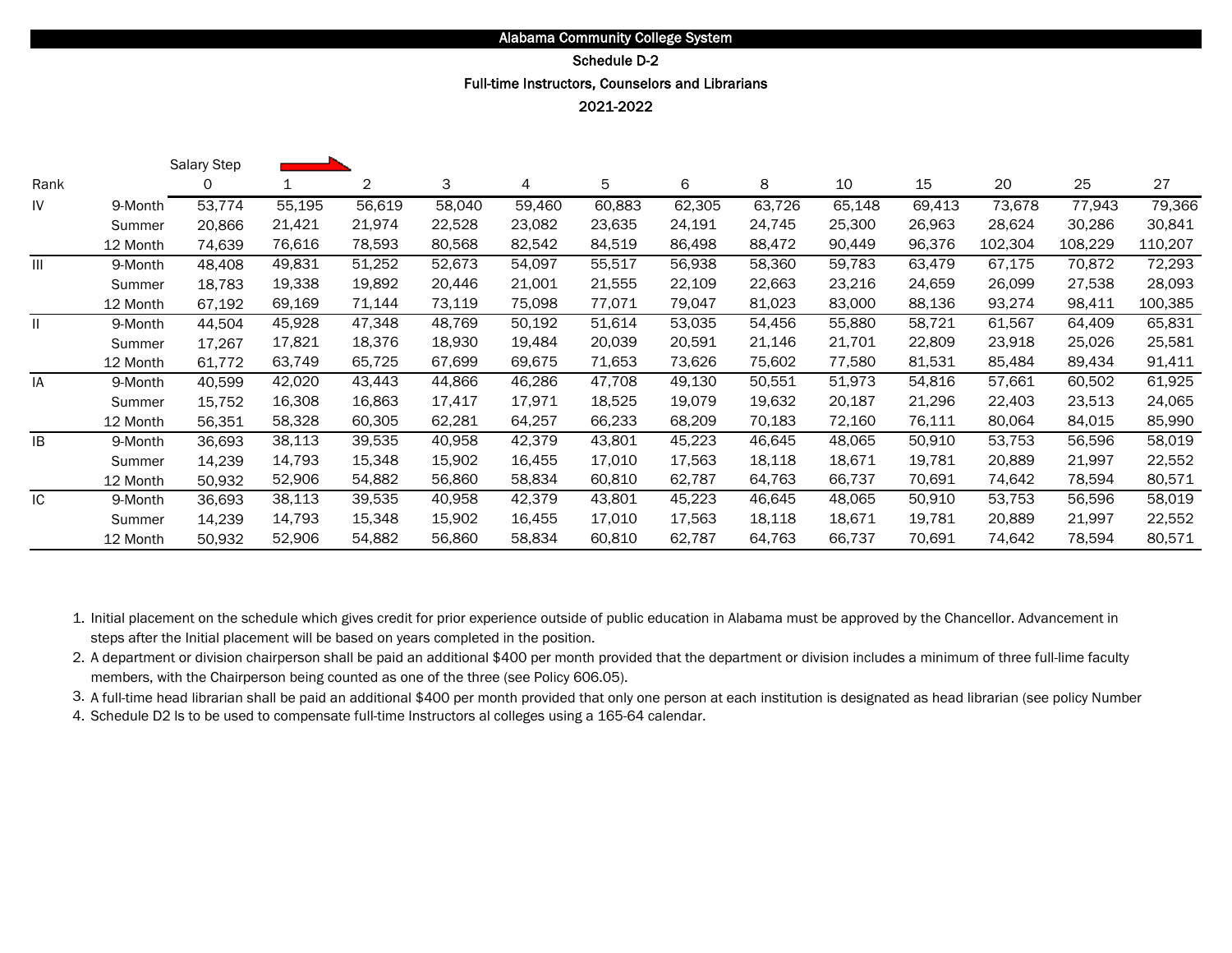# Schedule D-2

Full-time Instructors, Counselors and Librarians

2021-2022

|               |          | Salary Step |        |        |        |        |        |        |        |        |        |         |         |         |
|---------------|----------|-------------|--------|--------|--------|--------|--------|--------|--------|--------|--------|---------|---------|---------|
| Rank          |          | 0           | 1      | 2      | 3      | 4      | 5      | 6      | 8      | 10     | 15     | 20      | 25      | 27      |
| IV            | 9-Month  | 53,774      | 55,195 | 56,619 | 58,040 | 59,460 | 60,883 | 62,305 | 63,726 | 65,148 | 69,413 | 73,678  | 77,943  | 79,366  |
|               | Summer   | 20,866      | 21,421 | 21,974 | 22,528 | 23,082 | 23,635 | 24,191 | 24,745 | 25,300 | 26,963 | 28,624  | 30,286  | 30,841  |
|               | 12 Month | 74.639      | 76,616 | 78,593 | 80,568 | 82,542 | 84,519 | 86,498 | 88,472 | 90,449 | 96,376 | 102,304 | 108,229 | 110,207 |
| Ш             | 9-Month  | 48,408      | 49,831 | 51,252 | 52,673 | 54,097 | 55,517 | 56,938 | 58,360 | 59,783 | 63,479 | 67,175  | 70,872  | 72,293  |
|               | Summer   | 18,783      | 19,338 | 19,892 | 20,446 | 21,001 | 21,555 | 22,109 | 22,663 | 23,216 | 24,659 | 26,099  | 27,538  | 28,093  |
|               | 12 Month | 67,192      | 69,169 | 71,144 | 73,119 | 75,098 | 77,071 | 79,047 | 81,023 | 83,000 | 88,136 | 93,274  | 98,411  | 100,385 |
| $\mathbf{II}$ | 9-Month  | 44,504      | 45,928 | 47,348 | 48,769 | 50,192 | 51,614 | 53,035 | 54,456 | 55,880 | 58,721 | 61,567  | 64,409  | 65,831  |
|               | Summer   | 17,267      | 17,821 | 18,376 | 18,930 | 19,484 | 20,039 | 20,591 | 21,146 | 21,701 | 22,809 | 23,918  | 25,026  | 25,581  |
|               | 12 Month | 61.772      | 63,749 | 65,725 | 67,699 | 69,675 | 71,653 | 73,626 | 75,602 | 77.580 | 81,531 | 85,484  | 89,434  | 91,411  |
| IA            | 9-Month  | 40,599      | 42,020 | 43,443 | 44,866 | 46,286 | 47,708 | 49,130 | 50,551 | 51,973 | 54,816 | 57,661  | 60,502  | 61,925  |
|               | Summer   | 15,752      | 16,308 | 16,863 | 17,417 | 17,971 | 18,525 | 19,079 | 19,632 | 20,187 | 21,296 | 22,403  | 23,513  | 24,065  |
|               | 12 Month | 56,351      | 58,328 | 60,305 | 62,281 | 64,257 | 66,233 | 68,209 | 70,183 | 72,160 | 76,111 | 80,064  | 84,015  | 85,990  |
| IB            | 9-Month  | 36,693      | 38,113 | 39,535 | 40,958 | 42,379 | 43,801 | 45,223 | 46,645 | 48,065 | 50,910 | 53,753  | 56,596  | 58,019  |
|               | Summer   | 14,239      | 14,793 | 15,348 | 15,902 | 16,455 | 17,010 | 17,563 | 18,118 | 18,671 | 19,781 | 20,889  | 21,997  | 22,552  |
|               | 12 Month | 50,932      | 52,906 | 54,882 | 56,860 | 58,834 | 60,810 | 62,787 | 64,763 | 66,737 | 70,691 | 74,642  | 78,594  | 80,571  |
| IC            | 9-Month  | 36,693      | 38,113 | 39,535 | 40,958 | 42,379 | 43,801 | 45,223 | 46,645 | 48,065 | 50,910 | 53,753  | 56,596  | 58,019  |
|               | Summer   | 14,239      | 14,793 | 15,348 | 15,902 | 16,455 | 17,010 | 17,563 | 18,118 | 18,671 | 19,781 | 20,889  | 21,997  | 22,552  |
|               | 12 Month | 50,932      | 52,906 | 54,882 | 56,860 | 58,834 | 60,810 | 62,787 | 64,763 | 66,737 | 70,691 | 74,642  | 78,594  | 80,571  |

1. Initial placement on the schedule which gives credit for prior experience outside of public education in Alabama must be approved by the Chancellor. Advancement in steps after the Initial placement will be based on years completed in the position.

2. A department or division chairperson shall be paid an additional \$400 per month provided that the department or division includes a minimum of three full-lime faculty members, with the Chairperson being counted as one of the three (see Policy 606.05).

3. A full-time head librarian shall be paid an additional \$400 per month provided that only one person at each institution is designated as head librarian (see policy Number

4. Schedule D2 ls to be used to compensate full-time Instructors al colleges using a 165-64 calendar.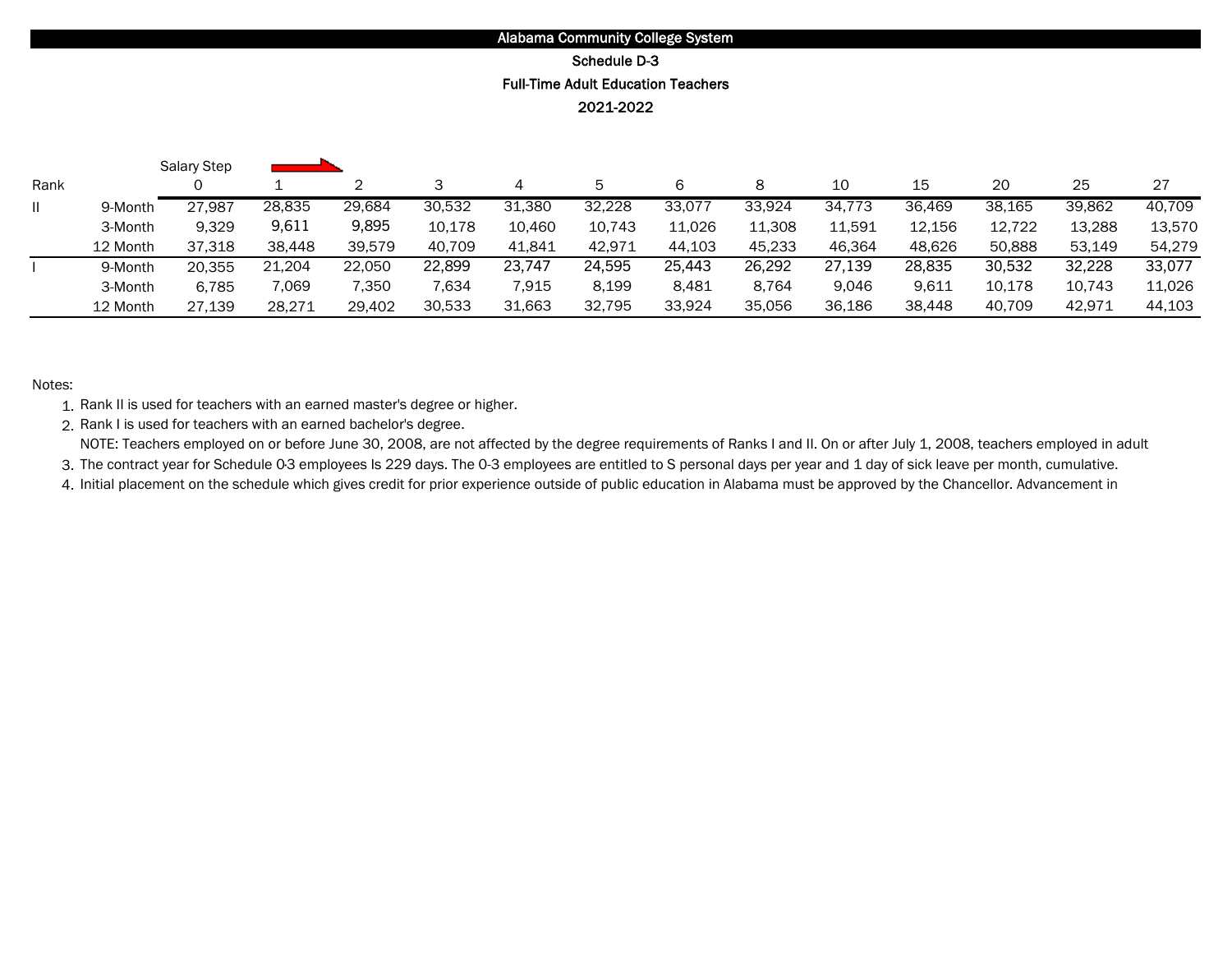# 2021-2022 Full-Time Adult Education Teachers Schedule D-3

|      |          | <b>Salary Step</b> |        |        |        |        |        |        |        |        |        |        |        |        |
|------|----------|--------------------|--------|--------|--------|--------|--------|--------|--------|--------|--------|--------|--------|--------|
| Rank |          |                    |        |        |        |        | 5      | 6      |        | 10     | 15     | 20     | 25     | 27     |
|      | 9-Month  | 27,987             | 28,835 | 29,684 | 30,532 | 31,380 | 32,228 | 33,077 | 33,924 | 34.773 | 36.469 | 38,165 | 39,862 | 40,709 |
|      | 3-Month  | 9,329              | 9,611  | 9,895  | 10,178 | 10,460 | 10,743 | 11,026 | 11,308 | 11,591 | 12,156 | 12,722 | 13,288 | 13,57C |
|      | 12 Month | 37.318             | 38.448 | 39.579 | 40,709 | 41.841 | 42.971 | 44.103 | 45,233 | 46.364 | 48.626 | 50.888 | 53.149 | 54.279 |
|      | 9-Month  | 20,355             | 21,204 | 22,050 | 22,899 | 23,747 | 24,595 | 25,443 | 26,292 | 27,139 | 28,835 | 30,532 | 32,228 | 33,077 |
|      | 3-Month  | 6.785              | 7,069  | 7.350  | 7.634  | 7,915  | 8,199  | 8.481  | 8.764  | 9.046  | 9,611  | 10,178 | 10.743 | 11,026 |
|      | 12 Month | 27,139             | 28.271 | 29.402 | 30,533 | 31,663 | 32,795 | 33,924 | 35,056 | 36.186 | 38,448 | 40.709 | 42,971 | 44.103 |

#### Notes:

1. Rank II is used for teachers with an earned master's degree or higher.

2. Rank I is used for teachers with an earned bachelor's degree. NOTE: Teachers employed on or before June 30, 2008, are not affected by the degree requirements of Ranks I and II. On or after July 1, 2008, teachers employed in adult

3. The contract year for Schedule 0·3 employees Is 229 days. The 0-3 employees are entitled to S personal days per year and 1 day of sick leave per month, cumulative.

4. Initial placement on the schedule which gives credit for prior experience outside of public education in Alabama must be approved by the Chancellor. Advancement in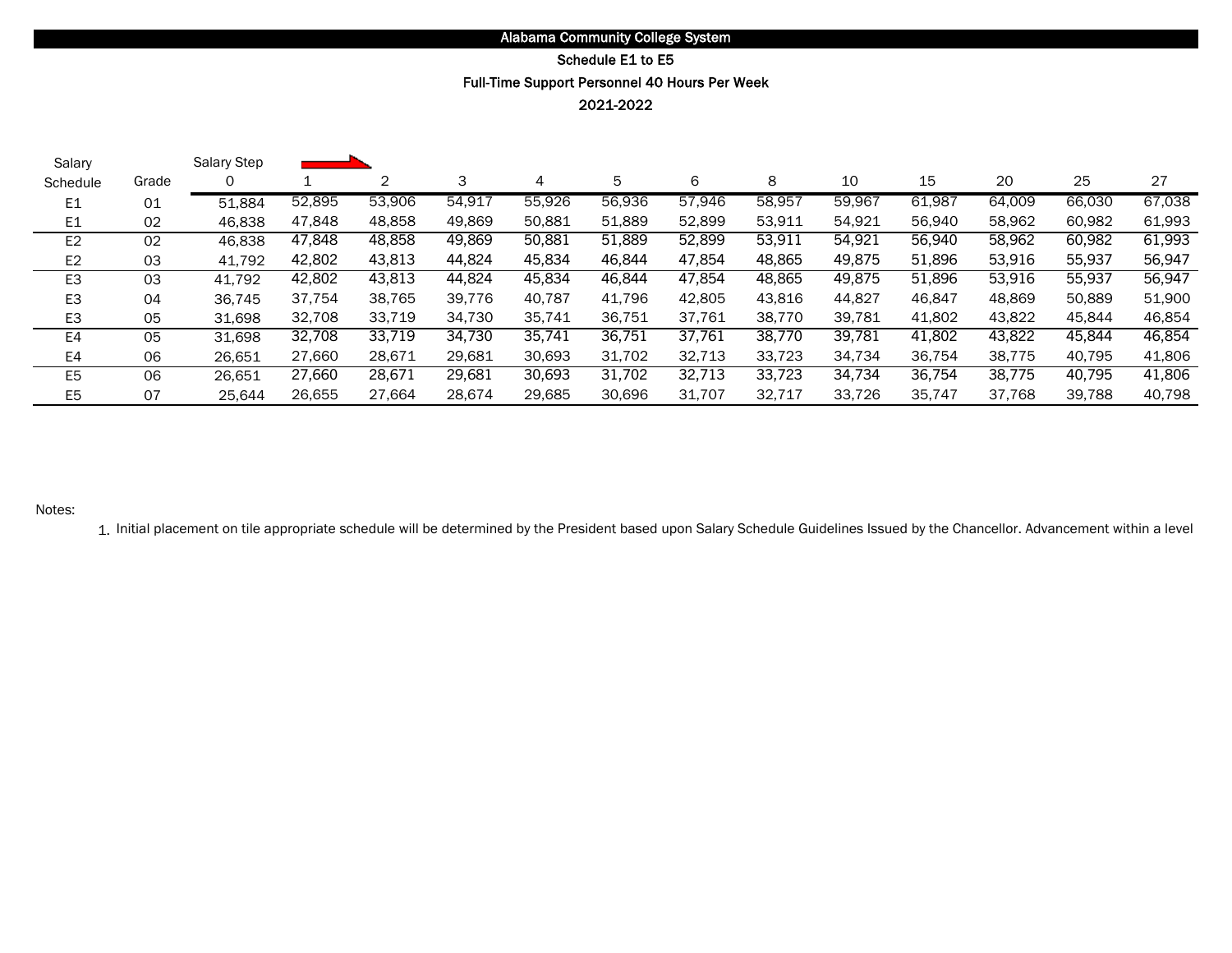#### Schedule E1 to E5

### Full-Time Support Personnel 40 Hours Per Week

2021-2022

| Salary         |       | Salary Step |        |        |        |        |        |        |        |        |        |        |        |        |
|----------------|-------|-------------|--------|--------|--------|--------|--------|--------|--------|--------|--------|--------|--------|--------|
| Schedule       | Grade |             |        | 2      | 3      | 4      | 5      | 6      | 8      | 10     | 15     | 20     | 25     | 27     |
| E1             | 01    | 51,884      | 52,895 | 53,906 | 54.917 | 55,926 | 56.936 | 57,946 | 58,957 | 59,967 | 61,987 | 64,009 | 66,030 | 67,038 |
| E1             | 02    | 46,838      | 47,848 | 48,858 | 49,869 | 50,881 | 51,889 | 52,899 | 53,911 | 54,921 | 56,940 | 58,962 | 60,982 | 61,993 |
| E <sub>2</sub> | 02    | 46,838      | 47,848 | 48,858 | 49,869 | 50,881 | 51,889 | 52,899 | 53,911 | 54,921 | 56,940 | 58,962 | 60,982 | 61,993 |
| E <sub>2</sub> | 03    | 41.792      | 42,802 | 43,813 | 44,824 | 45,834 | 46.844 | 47,854 | 48,865 | 49,875 | 51,896 | 53,916 | 55,937 | 56,947 |
| E <sub>3</sub> | 03    | 41,792      | 42,802 | 43,813 | 44,824 | 45,834 | 46,844 | 47,854 | 48,865 | 49,875 | 51,896 | 53,916 | 55,937 | 56,947 |
| E <sub>3</sub> | 04    | 36,745      | 37.754 | 38,765 | 39.776 | 40.787 | 41,796 | 42,805 | 43.816 | 44.827 | 46,847 | 48,869 | 50,889 | 51,900 |
| E3             | 05    | 31.698      | 32,708 | 33,719 | 34,730 | 35.741 | 36.751 | 37.761 | 38.770 | 39,781 | 41,802 | 43,822 | 45,844 | 46,854 |
| E4             | 05    | 31,698      | 32,708 | 33,719 | 34,730 | 35,741 | 36,751 | 37,761 | 38,770 | 39,781 | 41,802 | 43,822 | 45,844 | 46,854 |
| E4             | 06    | 26,651      | 27,660 | 28,671 | 29,681 | 30,693 | 31.702 | 32,713 | 33.723 | 34,734 | 36.754 | 38,775 | 40,795 | 41,806 |
| E <sub>5</sub> | 06    | 26,651      | 27,660 | 28,671 | 29,681 | 30,693 | 31.702 | 32,713 | 33,723 | 34,734 | 36,754 | 38,775 | 40,795 | 41,806 |
| E <sub>5</sub> | 07    | 25,644      | 26.655 | 27.664 | 28.674 | 29.685 | 30.696 | 31.707 | 32.717 | 33.726 | 35.747 | 37.768 | 39.788 | 40,798 |

#### Notes:

1. Initial placement on tile appropriate schedule will be determined by the President based upon Salary Schedule Guidelines Issued by the Chancellor. Advancement within a level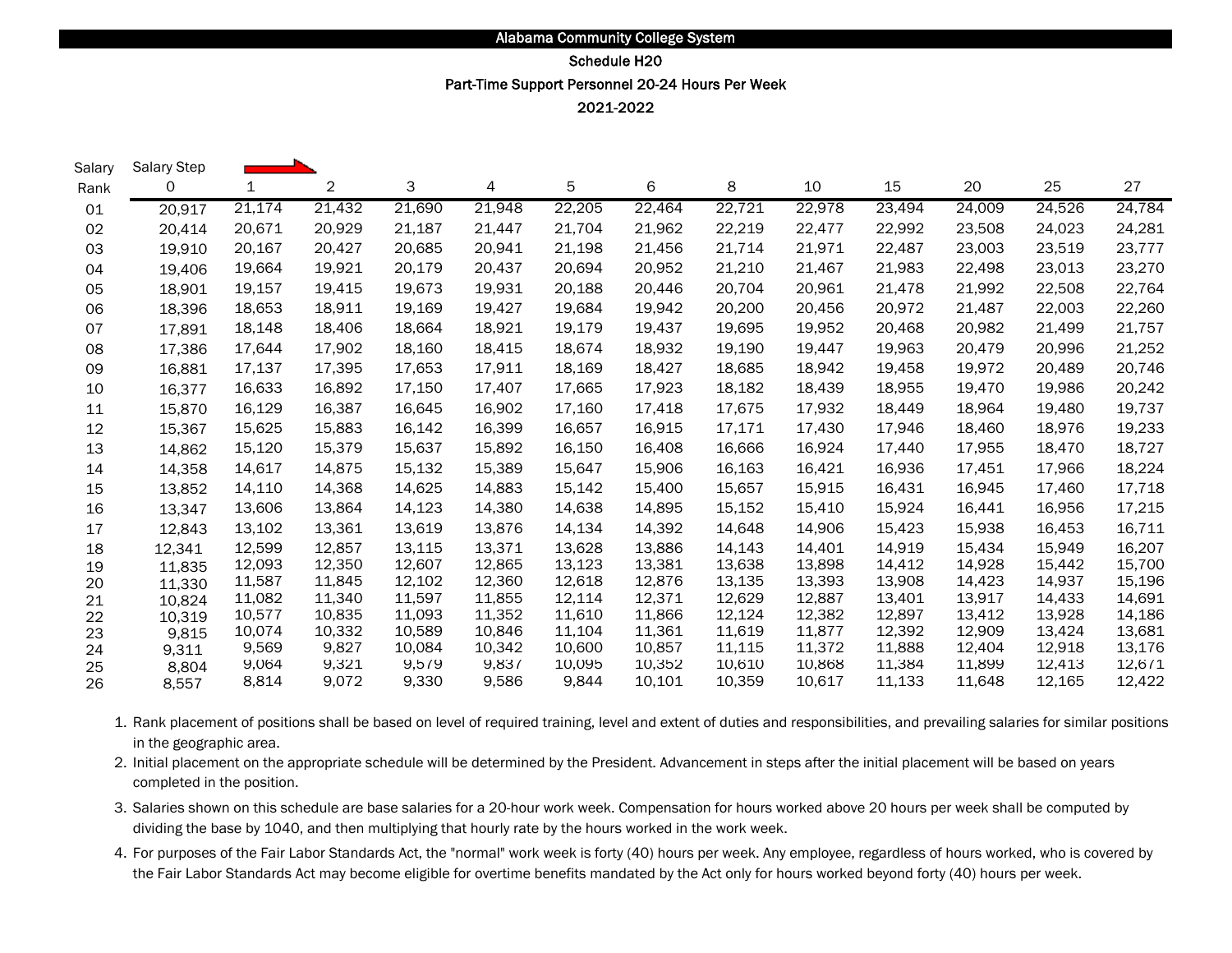## Part-Time Support Personnel 20-24 Hours Per Week Schedule H20

2021-2022

ь

| Salary | Salary Step |        |        |        |        |        |        |        |        |        |        |        |        |
|--------|-------------|--------|--------|--------|--------|--------|--------|--------|--------|--------|--------|--------|--------|
| Rank   | 0           | 1      | 2      | 3      | 4      | 5      | 6      | 8      | 10     | 15     | 20     | 25     | 27     |
| 01     | 20,917      | 21,174 | 21,432 | 21,690 | 21,948 | 22,205 | 22,464 | 22,721 | 22,978 | 23,494 | 24,009 | 24,526 | 24,784 |
| 02     | 20.414      | 20,671 | 20,929 | 21,187 | 21,447 | 21,704 | 21,962 | 22,219 | 22,477 | 22,992 | 23,508 | 24,023 | 24,281 |
| 03     | 19,910      | 20,167 | 20,427 | 20,685 | 20,941 | 21,198 | 21,456 | 21,714 | 21,971 | 22,487 | 23,003 | 23,519 | 23,777 |
| 04     | 19,406      | 19,664 | 19,921 | 20,179 | 20,437 | 20,694 | 20,952 | 21,210 | 21,467 | 21,983 | 22,498 | 23,013 | 23,270 |
| 05     | 18,901      | 19,157 | 19,415 | 19,673 | 19,931 | 20,188 | 20,446 | 20,704 | 20,961 | 21,478 | 21,992 | 22,508 | 22,764 |
| 06     | 18,396      | 18,653 | 18,911 | 19,169 | 19,427 | 19,684 | 19,942 | 20,200 | 20,456 | 20,972 | 21,487 | 22,003 | 22,260 |
| 07     | 17,891      | 18,148 | 18,406 | 18,664 | 18,921 | 19,179 | 19,437 | 19,695 | 19,952 | 20,468 | 20,982 | 21,499 | 21,757 |
| 08     | 17,386      | 17,644 | 17,902 | 18,160 | 18,415 | 18,674 | 18,932 | 19,190 | 19,447 | 19,963 | 20,479 | 20,996 | 21,252 |
| 09     | 16,881      | 17,137 | 17,395 | 17,653 | 17,911 | 18,169 | 18,427 | 18,685 | 18,942 | 19,458 | 19,972 | 20,489 | 20,746 |
| 10     | 16,377      | 16,633 | 16,892 | 17,150 | 17,407 | 17,665 | 17,923 | 18,182 | 18,439 | 18,955 | 19,470 | 19,986 | 20,242 |
| 11     | 15,870      | 16,129 | 16,387 | 16,645 | 16,902 | 17,160 | 17,418 | 17,675 | 17,932 | 18,449 | 18,964 | 19,480 | 19,737 |
| 12     | 15,367      | 15,625 | 15,883 | 16,142 | 16,399 | 16,657 | 16,915 | 17,171 | 17,430 | 17,946 | 18,460 | 18,976 | 19,233 |
| 13     | 14,862      | 15,120 | 15,379 | 15,637 | 15,892 | 16,150 | 16,408 | 16,666 | 16,924 | 17,440 | 17,955 | 18,470 | 18,727 |
| 14     | 14,358      | 14,617 | 14,875 | 15,132 | 15,389 | 15,647 | 15,906 | 16,163 | 16,421 | 16,936 | 17,451 | 17,966 | 18,224 |
| 15     | 13,852      | 14,110 | 14,368 | 14,625 | 14,883 | 15,142 | 15,400 | 15,657 | 15,915 | 16,431 | 16,945 | 17,460 | 17,718 |
| 16     | 13,347      | 13,606 | 13,864 | 14,123 | 14,380 | 14,638 | 14,895 | 15,152 | 15,410 | 15,924 | 16,441 | 16,956 | 17,215 |
| 17     | 12,843      | 13,102 | 13,361 | 13,619 | 13,876 | 14,134 | 14,392 | 14,648 | 14,906 | 15,423 | 15,938 | 16,453 | 16,711 |
| 18     | 12,341      | 12,599 | 12,857 | 13,115 | 13,371 | 13,628 | 13,886 | 14,143 | 14.401 | 14,919 | 15,434 | 15,949 | 16,207 |
| 19     | 11,835      | 12,093 | 12,350 | 12,607 | 12,865 | 13,123 | 13,381 | 13,638 | 13,898 | 14,412 | 14,928 | 15,442 | 15,700 |
| 20     | 11.330      | 11,587 | 11,845 | 12,102 | 12,360 | 12,618 | 12,876 | 13,135 | 13,393 | 13,908 | 14,423 | 14,937 | 15,196 |
| 21     | 10,824      | 11,082 | 11,340 | 11,597 | 11,855 | 12,114 | 12,371 | 12,629 | 12,887 | 13,401 | 13,917 | 14,433 | 14,691 |
| 22     | 10,319      | 10,577 | 10,835 | 11,093 | 11,352 | 11,610 | 11,866 | 12,124 | 12,382 | 12,897 | 13,412 | 13,928 | 14,186 |
| 23     | 9,815       | 10,074 | 10,332 | 10,589 | 10,846 | 11,104 | 11,361 | 11,619 | 11,877 | 12,392 | 12,909 | 13,424 | 13,681 |
| 24     | 9,311       | 9,569  | 9,827  | 10,084 | 10,342 | 10,600 | 10,857 | 11,115 | 11,372 | 11,888 | 12,404 | 12,918 | 13,176 |
| 25     | 8.804       | 9,064  | 9,321  | 9,579  | 9,837  | 10,095 | 10,352 | 10,610 | 10,868 | 11,384 | 11,899 | 12,413 | 12,671 |
| 26     | 8,557       | 8,814  | 9,072  | 9,330  | 9,586  | 9,844  | 10,101 | 10,359 | 10,617 | 11,133 | 11,648 | 12,165 | 12,422 |

- 1. Rank placement of positions shall be based on level of required training, level and extent of duties and responsibilities, and prevailing salaries for similar positions in the geographic area.
- 2. Initial placement on the appropriate schedule will be determined by the President. Advancement in steps after the initial placement will be based on years completed in the position.
- 3. Salaries shown on this schedule are base salaries for a 20-hour work week. Compensation for hours worked above 20 hours per week shall be computed by dividing the base by 1040, and then multiplying that hourly rate by the hours worked in the work week.
- 4. For purposes of the Fair Labor Standards Act, the "normal" work week is forty (40) hours per week. Any employee, regardless of hours worked, who is covered by the Fair Labor Standards Act may become eligible for overtime benefits mandated by the Act only for hours worked beyond forty (40) hours per week.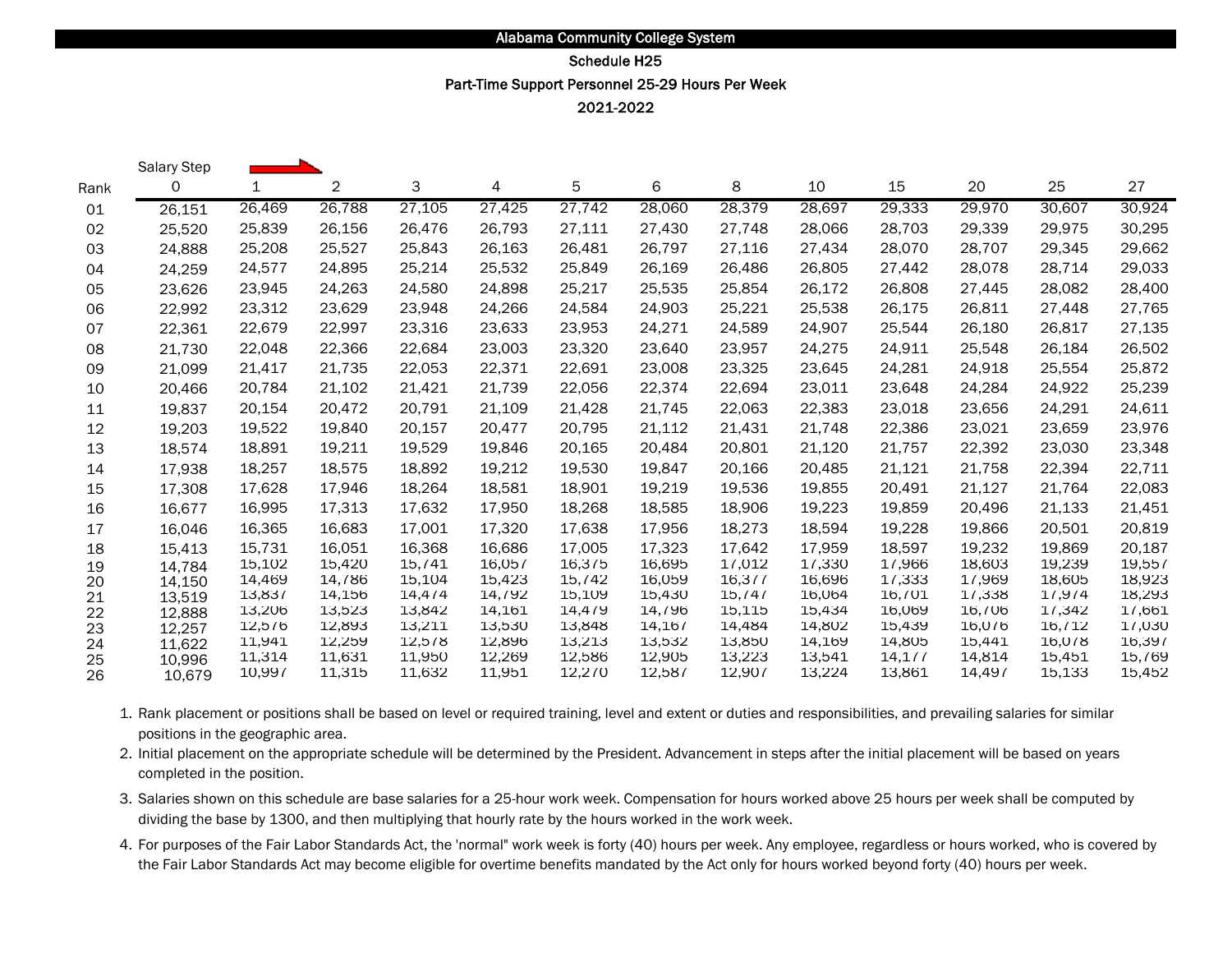## Part-Time Support Personnel 25-29 Hours Per Week Schedule H25

2021-2022

|      | Salary Step |        |        |         |        |         |          |         |        |         |        |        |        |
|------|-------------|--------|--------|---------|--------|---------|----------|---------|--------|---------|--------|--------|--------|
| Rank | 0           | 1      | 2      | 3       | 4      | 5       | 6        | 8       | 10     | 15      | 20     | 25     | 27     |
| 01   | 26,151      | 26,469 | 26,788 | 27,105  | 27,425 | 27,742  | 28,060   | 28,379  | 28,697 | 29,333  | 29,970 | 30,607 | 30,924 |
| 02   | 25,520      | 25,839 | 26,156 | 26,476  | 26,793 | 27,111  | 27,430   | 27.748  | 28,066 | 28,703  | 29,339 | 29,975 | 30,295 |
| 03   | 24.888      | 25,208 | 25,527 | 25,843  | 26,163 | 26,481  | 26,797   | 27,116  | 27,434 | 28,070  | 28,707 | 29,345 | 29,662 |
| 04   | 24,259      | 24,577 | 24,895 | 25,214  | 25,532 | 25,849  | 26,169   | 26,486  | 26,805 | 27,442  | 28,078 | 28,714 | 29,033 |
| 05   | 23,626      | 23,945 | 24,263 | 24.580  | 24,898 | 25,217  | 25,535   | 25.854  | 26,172 | 26,808  | 27,445 | 28.082 | 28,400 |
| 06   | 22,992      | 23,312 | 23,629 | 23,948  | 24,266 | 24,584  | 24,903   | 25,221  | 25,538 | 26,175  | 26,811 | 27,448 | 27,765 |
| 07   | 22,361      | 22,679 | 22,997 | 23,316  | 23,633 | 23,953  | 24,271   | 24,589  | 24,907 | 25,544  | 26,180 | 26,817 | 27,135 |
| 08   | 21,730      | 22,048 | 22,366 | 22,684  | 23,003 | 23,320  | 23,640   | 23,957  | 24,275 | 24,911  | 25,548 | 26,184 | 26,502 |
| 09   | 21,099      | 21,417 | 21,735 | 22,053  | 22,371 | 22,691  | 23,008   | 23,325  | 23,645 | 24,281  | 24,918 | 25,554 | 25,872 |
| 10   | 20,466      | 20,784 | 21,102 | 21,421  | 21,739 | 22,056  | 22,374   | 22,694  | 23,011 | 23,648  | 24,284 | 24,922 | 25,239 |
| 11   | 19,837      | 20,154 | 20,472 | 20,791  | 21,109 | 21,428  | 21,745   | 22,063  | 22,383 | 23,018  | 23,656 | 24,291 | 24,611 |
| 12   | 19,203      | 19,522 | 19,840 | 20,157  | 20,477 | 20,795  | 21,112   | 21,431  | 21,748 | 22,386  | 23,021 | 23.659 | 23,976 |
| 13   | 18,574      | 18,891 | 19,211 | 19,529  | 19,846 | 20,165  | 20,484   | 20,801  | 21,120 | 21,757  | 22,392 | 23,030 | 23,348 |
| 14   | 17,938      | 18,257 | 18,575 | 18,892  | 19,212 | 19,530  | 19.847   | 20,166  | 20,485 | 21,121  | 21,758 | 22,394 | 22,711 |
| 15   | 17,308      | 17,628 | 17,946 | 18,264  | 18,581 | 18,901  | 19,219   | 19,536  | 19,855 | 20,491  | 21,127 | 21,764 | 22,083 |
| 16   | 16,677      | 16,995 | 17,313 | 17,632  | 17,950 | 18,268  | 18,585   | 18,906  | 19,223 | 19,859  | 20,496 | 21,133 | 21,451 |
| 17   | 16,046      | 16,365 | 16,683 | 17,001  | 17,320 | 17,638  | 17,956   | 18,273  | 18,594 | 19,228  | 19,866 | 20,501 | 20,819 |
| 18   | 15,413      | 15,731 | 16.051 | 16.368  | 16.686 | 17,005  | 17,323   | 17.642  | 17,959 | 18,597  | 19,232 | 19.869 | 20,187 |
| 19   | 14,784      | 15,102 | 15,420 | 15,741  | 16,057 | 16,375  | 16,695   | 17,012  | 17,330 | 17,966  | 18,603 | 19,239 | 19,557 |
| 20   | 14.150      | 14,469 | 14,786 | 15,104  | 15,423 | 15, 742 | 16,059   | 16,3/7  | 16,696 | 17,333  | 17,969 | 18,605 | 18,923 |
| 21   | 13.519      | 13,837 | 14,156 | 14, 4/4 | 14,792 | 15,109  | 15,430   | 15, 747 | 16,064 | 16,701  | 17,338 | 1/9/4  | 18,293 |
| 22   | 12,888      | 13,206 | 13,523 | 13,842  | 14,161 | 14,479  | 14, / 96 | 15,115  | 15,434 | 16,069  | 16,706 | 17.342 | 17,661 |
| 23   | 12,257      | 12,5/6 | 12,893 | 13,211  | 13.530 | 13,848  | 14,16/   | 14,484  | 14,802 | 15,439  | 16.0/6 | 16, 12 | 17,030 |
| 24   | 11.622      | 11,941 | 12,259 | 12,5/8  | 12,896 | 13,213  | 13.532   | 13,850  | 14,169 | 14,805  | 15,441 | 16,078 | 16,39/ |
| 25   | 10.996      | 11,314 | 11,631 | 11,950  | 12,269 | 12,586  | 12,905   | 13,223  | 13,541 | 14, 1// | 14,814 | 15,451 | 15,769 |
| 26   | 10,679      | 10,997 | 11,315 | 11,632  | 11,951 | 12,270  | 12,587   | 12,907  | 13,224 | 13,861  | 14,497 | 15,133 | 15,452 |

- 1. Rank placement or positions shall be based on level or required training, level and extent or duties and responsibilities, and prevailing salaries for similar positions in the geographic area.
- 2. Initial placement on the appropriate schedule will be determined by the President. Advancement in steps after the initial placement will be based on years completed in the position.
- 3. Salaries shown on this schedule are base salaries for a 25-hour work week. Compensation for hours worked above 25 hours per week shall be computed by dividing the base by 1300, and then multiplying that hourly rate by the hours worked in the work week.
- 4. For purposes of the Fair Labor Standards Act, the 'normal" work week is forty (40) hours per week. Any employee, regardless or hours worked, who is covered by the Fair Labor Standards Act may become eligible for overtime benefits mandated by the Act only for hours worked beyond forty (40) hours per week.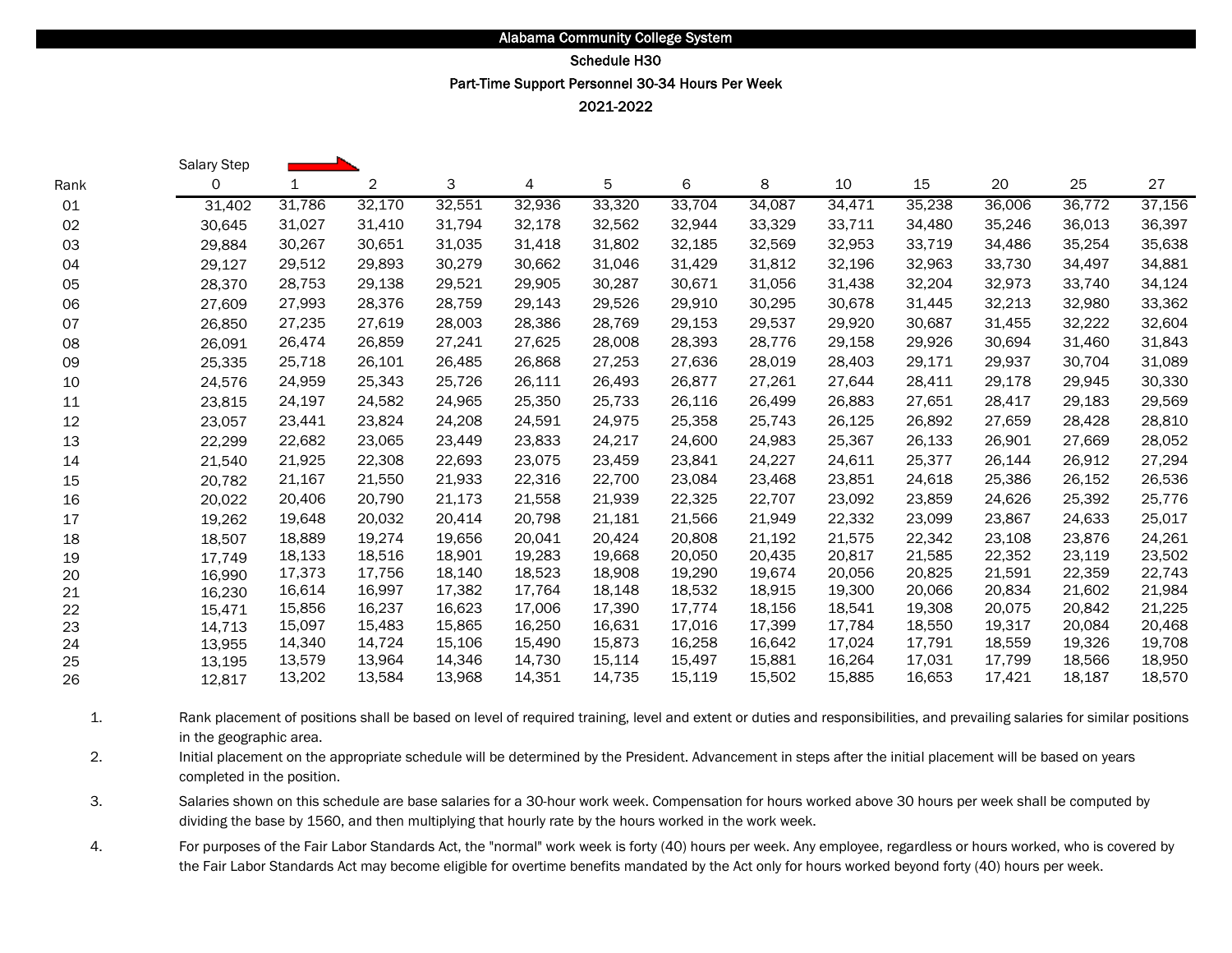### Part-Time Support Personnel 30-34 Hours Per Week Schedule H30

2021-2022

|          | Salary Step      |                  |                  |                  |                  |                  |                  |                  |                  |                  |                  |                  |                  |
|----------|------------------|------------------|------------------|------------------|------------------|------------------|------------------|------------------|------------------|------------------|------------------|------------------|------------------|
| Rank     | 0                | 1                | $\overline{2}$   | 3                | 4                | 5                | 6                | 8                | 10               | 15               | 20               | 25               | 27               |
| 01       | 31,402           | 31,786           | 32,170           | 32,551           | 32,936           | 33,320           | 33,704           | 34,087           | 34,471           | 35,238           | 36,006           | 36,772           | 37,156           |
| 02       | 30,645           | 31,027           | 31,410           | 31,794           | 32,178           | 32,562           | 32,944           | 33,329           | 33,711           | 34,480           | 35,246           | 36,013           | 36,397           |
| 03       | 29,884           | 30,267           | 30,651           | 31,035           | 31,418           | 31,802           | 32,185           | 32,569           | 32,953           | 33,719           | 34,486           | 35,254           | 35,638           |
| 04       | 29,127           | 29,512           | 29,893           | 30,279           | 30,662           | 31,046           | 31,429           | 31,812           | 32,196           | 32,963           | 33,730           | 34,497           | 34,881           |
| 05       | 28,370           | 28,753           | 29,138           | 29,521           | 29,905           | 30,287           | 30,671           | 31,056           | 31,438           | 32,204           | 32,973           | 33,740           | 34,124           |
| 06       | 27,609           | 27,993           | 28,376           | 28,759           | 29,143           | 29,526           | 29,910           | 30,295           | 30,678           | 31,445           | 32,213           | 32,980           | 33,362           |
| 07       | 26,850           | 27,235           | 27,619           | 28,003           | 28,386           | 28,769           | 29,153           | 29,537           | 29,920           | 30,687           | 31,455           | 32,222           | 32,604           |
| 08       | 26,091           | 26,474           | 26,859           | 27,241           | 27,625           | 28,008           | 28,393           | 28,776           | 29,158           | 29,926           | 30,694           | 31,460           | 31,843           |
| 09       | 25,335           | 25,718           | 26,101           | 26,485           | 26,868           | 27,253           | 27,636           | 28,019           | 28,403           | 29,171           | 29,937           | 30,704           | 31,089           |
| 10       | 24,576           | 24,959           | 25,343           | 25,726           | 26,111           | 26,493           | 26,877           | 27,261           | 27,644           | 28,411           | 29,178           | 29,945           | 30,330           |
| 11       | 23,815           | 24,197           | 24,582           | 24,965           | 25,350           | 25,733           | 26,116           | 26,499           | 26,883           | 27,651           | 28,417           | 29,183           | 29,569           |
| 12       | 23,057           | 23,441           | 23,824           | 24,208           | 24,591           | 24,975           | 25,358           | 25,743           | 26,125           | 26,892           | 27,659           | 28,428           | 28,810           |
| 13       | 22,299           | 22,682           | 23,065           | 23,449           | 23,833           | 24,217           | 24,600           | 24,983           | 25,367           | 26,133           | 26,901           | 27,669           | 28,052           |
| 14       | 21,540           | 21,925           | 22,308           | 22,693           | 23,075           | 23,459           | 23,841           | 24,227           | 24,611           | 25,377           | 26,144           | 26,912           | 27,294           |
| 15       | 20,782           | 21,167           | 21,550           | 21,933           | 22,316           | 22,700           | 23,084           | 23,468           | 23,851           | 24,618           | 25,386           | 26,152           | 26,536           |
| 16       | 20,022           | 20,406           | 20,790           | 21,173           | 21,558           | 21,939           | 22,325           | 22,707           | 23,092           | 23,859           | 24,626           | 25,392           | 25,776           |
| 17       | 19,262           | 19,648           | 20,032           | 20,414           | 20,798           | 21,181           | 21,566           | 21,949           | 22,332           | 23,099           | 23,867           | 24,633           | 25,017           |
| 18       | 18,507           | 18,889           | 19,274           | 19,656           | 20.041           | 20,424           | 20,808           | 21,192           | 21,575           | 22,342           | 23,108           | 23,876           | 24,261           |
| 19       | 17.749           | 18,133           | 18,516           | 18,901           | 19,283           | 19,668           | 20,050           | 20,435           | 20,817           | 21,585           | 22,352           | 23,119           | 23,502           |
| 20       | 16,990           | 17,373           | 17,756           | 18,140           | 18,523           | 18,908           | 19,290           | 19,674           | 20,056           | 20,825           | 21,591           | 22,359           | 22,743           |
| 21       | 16,230           | 16,614           | 16,997           | 17,382           | 17,764           | 18,148           | 18,532           | 18,915           | 19,300           | 20,066           | 20,834           | 21,602           | 21,984           |
| 22       | 15,471           | 15,856           | 16,237           | 16,623           | 17,006           | 17,390           | 17,774           | 18,156           | 18,541           | 19,308           | 20,075           | 20,842           | 21,225           |
| 23       | 14,713           | 15,097           | 15,483           | 15,865           | 16,250           | 16,631           | 17,016           | 17,399           | 17.784           | 18,550           | 19,317           | 20.084           | 20,468           |
| 24       | 13,955           | 14,340<br>13,579 | 14,724<br>13,964 | 15,106<br>14,346 | 15,490<br>14,730 | 15,873<br>15,114 | 16,258<br>15,497 | 16,642<br>15,881 | 17,024<br>16,264 | 17,791<br>17,031 | 18,559<br>17,799 | 19,326<br>18,566 | 19,708<br>18,950 |
| 25<br>26 | 13,195<br>12,817 | 13,202           | 13,584           | 13,968           | 14,351           | 14,735           | 15,119           | 15,502           | 15,885           | 16,653           | 17,421           | 18,187           | 18,570           |
|          |                  |                  |                  |                  |                  |                  |                  |                  |                  |                  |                  |                  |                  |

1. Rank placement of positions shall be based on level of required training, level and extent or duties and responsibilities, and prevailing salaries for similar positions in the geographic area.

2. Initial placement on the appropriate schedule will be determined by the President. Advancement in steps after the initial placement will be based on years completed in the position.

3. Salaries shown on this schedule are base salaries for a 30-hour work week. Compensation for hours worked above 30 hours per week shall be computed by dividing the base by 1560, and then multiplying that hourly rate by the hours worked in the work week.

4. For purposes of the Fair Labor Standards Act, the "normal" work week is forty (40) hours per week. Any employee, regardless or hours worked, who is covered by the Fair Labor Standards Act may become eligible for overtime benefits mandated by the Act only for hours worked beyond forty (40) hours per week.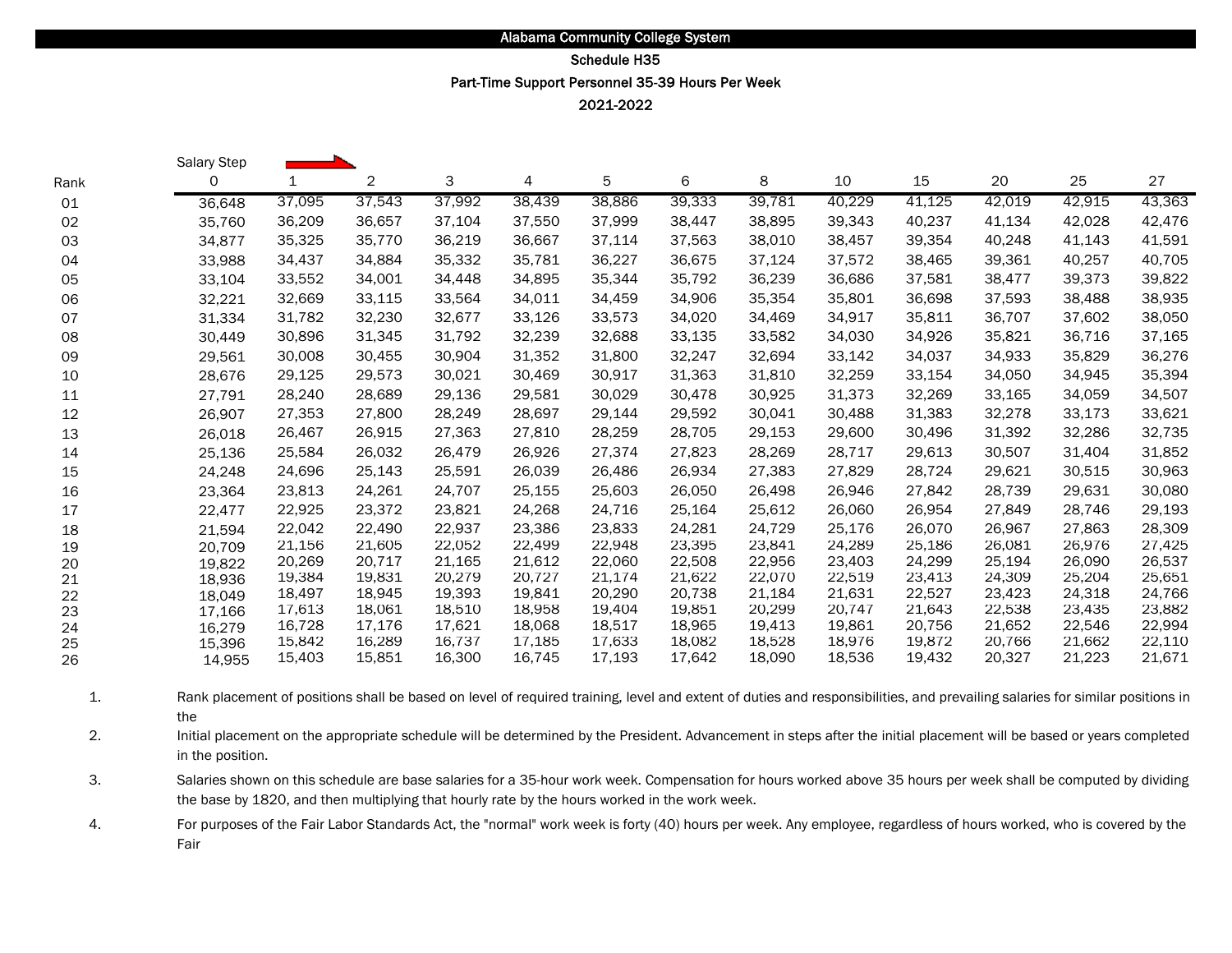# Schedule H35

Part-Time Support Personnel 35-39 Hours Per Week

2021-2022

|      | Salary Step |        |                |        |        |        |        |        |        |        |        |        |        |
|------|-------------|--------|----------------|--------|--------|--------|--------|--------|--------|--------|--------|--------|--------|
| Rank | 0           | 1      | $\overline{2}$ | 3      | 4      | 5      | 6      | 8      | 10     | 15     | 20     | 25     | 27     |
| 01   | 36,648      | 37,095 | 37,543         | 37,992 | 38,439 | 38,886 | 39,333 | 39,781 | 40,229 | 41,125 | 42,019 | 42,915 | 43,363 |
| 02   | 35,760      | 36,209 | 36,657         | 37,104 | 37,550 | 37,999 | 38,447 | 38,895 | 39,343 | 40,237 | 41,134 | 42,028 | 42,476 |
| 03   | 34,877      | 35,325 | 35,770         | 36,219 | 36,667 | 37,114 | 37,563 | 38,010 | 38,457 | 39,354 | 40,248 | 41,143 | 41,591 |
| 04   | 33,988      | 34,437 | 34,884         | 35,332 | 35,781 | 36,227 | 36,675 | 37,124 | 37,572 | 38,465 | 39,361 | 40,257 | 40,705 |
| 05   | 33,104      | 33,552 | 34,001         | 34,448 | 34,895 | 35,344 | 35,792 | 36,239 | 36,686 | 37,581 | 38,477 | 39,373 | 39,822 |
| 06   | 32,221      | 32,669 | 33,115         | 33,564 | 34,011 | 34,459 | 34,906 | 35,354 | 35,801 | 36,698 | 37,593 | 38,488 | 38,935 |
| 07   | 31,334      | 31,782 | 32,230         | 32,677 | 33,126 | 33,573 | 34,020 | 34,469 | 34,917 | 35,811 | 36,707 | 37,602 | 38,050 |
| 08   | 30,449      | 30,896 | 31,345         | 31,792 | 32,239 | 32,688 | 33,135 | 33,582 | 34,030 | 34,926 | 35,821 | 36,716 | 37,165 |
| 09   | 29,561      | 30,008 | 30,455         | 30,904 | 31,352 | 31,800 | 32,247 | 32,694 | 33,142 | 34,037 | 34,933 | 35,829 | 36,276 |
| 10   | 28,676      | 29,125 | 29,573         | 30,021 | 30,469 | 30,917 | 31,363 | 31,810 | 32,259 | 33,154 | 34,050 | 34,945 | 35,394 |
| 11   | 27,791      | 28,240 | 28,689         | 29,136 | 29,581 | 30,029 | 30,478 | 30,925 | 31,373 | 32,269 | 33,165 | 34,059 | 34,507 |
| 12   | 26,907      | 27,353 | 27,800         | 28,249 | 28,697 | 29,144 | 29,592 | 30,041 | 30,488 | 31,383 | 32,278 | 33,173 | 33,621 |
| 13   | 26,018      | 26,467 | 26,915         | 27,363 | 27,810 | 28,259 | 28,705 | 29,153 | 29,600 | 30,496 | 31,392 | 32,286 | 32,735 |
| 14   | 25,136      | 25,584 | 26,032         | 26,479 | 26,926 | 27,374 | 27,823 | 28,269 | 28,717 | 29,613 | 30,507 | 31,404 | 31,852 |
| 15   | 24,248      | 24,696 | 25,143         | 25,591 | 26,039 | 26,486 | 26,934 | 27,383 | 27,829 | 28,724 | 29,621 | 30,515 | 30,963 |
| 16   | 23,364      | 23,813 | 24,261         | 24,707 | 25,155 | 25,603 | 26,050 | 26,498 | 26,946 | 27,842 | 28,739 | 29,631 | 30,080 |
| 17   | 22,477      | 22,925 | 23,372         | 23,821 | 24,268 | 24,716 | 25,164 | 25,612 | 26,060 | 26,954 | 27,849 | 28,746 | 29,193 |
| 18   | 21,594      | 22,042 | 22,490         | 22,937 | 23,386 | 23,833 | 24,281 | 24,729 | 25,176 | 26,070 | 26,967 | 27,863 | 28,309 |
| 19   | 20,709      | 21,156 | 21,605         | 22,052 | 22,499 | 22,948 | 23,395 | 23,841 | 24,289 | 25,186 | 26,081 | 26,976 | 27,425 |
| 20   | 19,822      | 20,269 | 20,717         | 21,165 | 21,612 | 22,060 | 22,508 | 22,956 | 23,403 | 24,299 | 25,194 | 26,090 | 26,537 |
| 21   | 18,936      | 19,384 | 19,831         | 20,279 | 20,727 | 21,174 | 21,622 | 22,070 | 22,519 | 23,413 | 24,309 | 25,204 | 25,651 |
| 22   | 18,049      | 18,497 | 18,945         | 19,393 | 19,841 | 20,290 | 20,738 | 21,184 | 21,631 | 22,527 | 23,423 | 24,318 | 24,766 |
| 23   | 17,166      | 17,613 | 18,061         | 18,510 | 18,958 | 19,404 | 19,851 | 20,299 | 20,747 | 21,643 | 22,538 | 23,435 | 23,882 |
| 24   | 16,279      | 16,728 | 17,176         | 17,621 | 18,068 | 18,517 | 18,965 | 19,413 | 19,861 | 20,756 | 21,652 | 22,546 | 22,994 |
| 25   | 15,396      | 15,842 | 16,289         | 16,737 | 17,185 | 17,633 | 18,082 | 18,528 | 18,976 | 19,872 | 20,766 | 21,662 | 22,110 |
| 26   | 14,955      | 15,403 | 15,851         | 16,300 | 16,745 | 17,193 | 17,642 | 18,090 | 18,536 | 19,432 | 20,327 | 21,223 | 21,671 |

1. Rank placement of positions shall be based on level of required training, level and extent of duties and responsibilities, and prevailing salaries for similar positions in the

2. Initial placement on the appropriate schedule will be determined by the President. Advancement in steps after the initial placement will be based or years completed in the position.

3. Salaries shown on this schedule are base salaries for a 35-hour work week. Compensation for hours worked above 35 hours per week shall be computed by dividing the base by 1820, and then multiplying that hourly rate by the hours worked in the work week.

4. For purposes of the Fair Labor Standards Act, the "normal" work week is forty (40) hours per week. Any employee, regardless of hours worked, who is covered by the Fair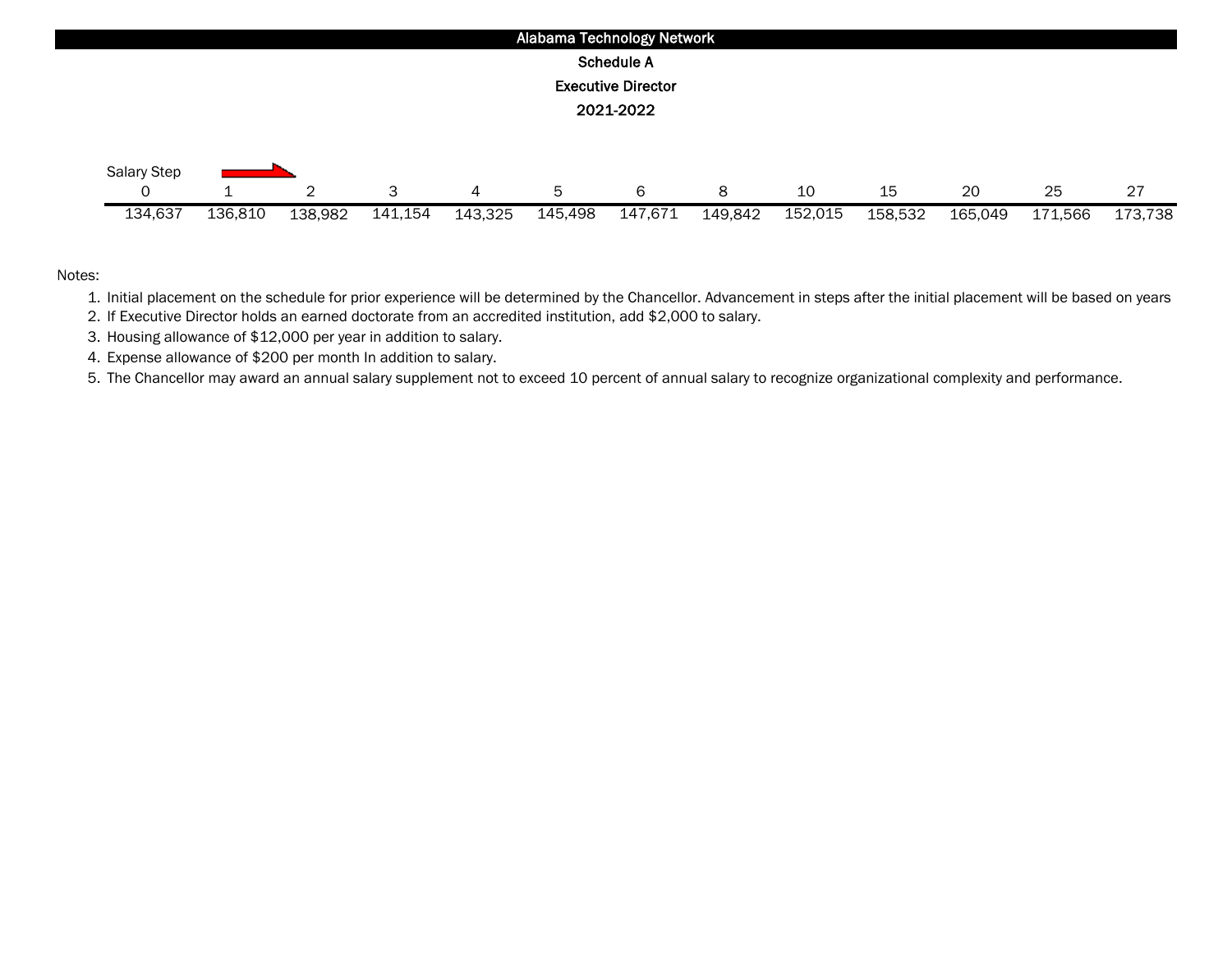

1. Initial placement on the schedule for prior experience will be determined by the Chancellor. Advancement in steps after the initial placement will be based on years

2. If Executive Director holds an earned doctorate from an accredited institution, add \$2,000 to salary.

3. Housing allowance of \$12,000 per year in addition to salary.

4. Expense allowance of \$200 per month In addition to salary.

5. The Chancellor may award an annual salary supplement not to exceed 10 percent of annual salary to recognize organizational complexity and performance.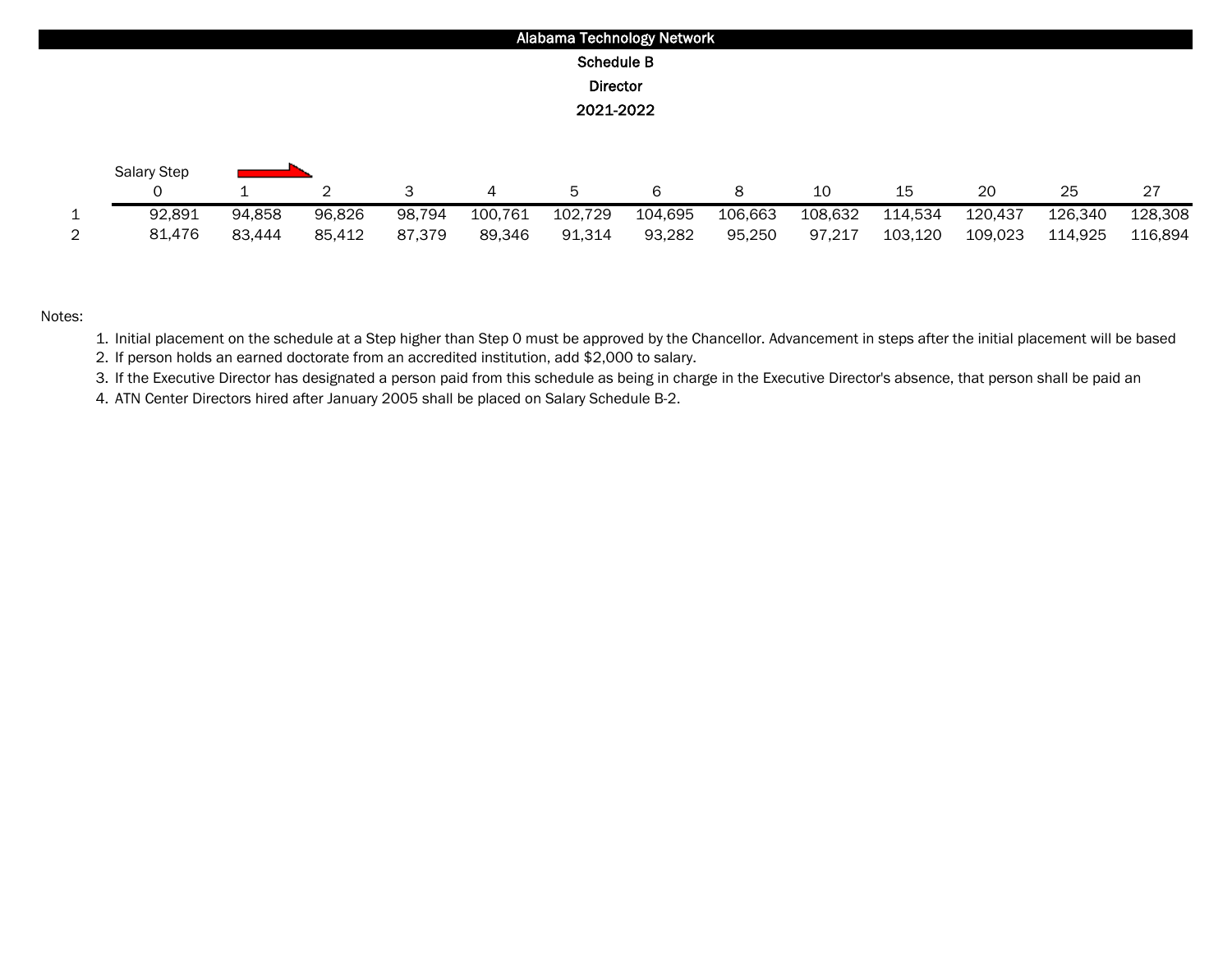|   |                    |        |        |        |         |                   | Alabama Technology Network |         |         |         |         |         |         |
|---|--------------------|--------|--------|--------|---------|-------------------|----------------------------|---------|---------|---------|---------|---------|---------|
|   |                    |        |        |        |         | <b>Schedule B</b> |                            |         |         |         |         |         |         |
|   |                    |        |        |        |         | <b>Director</b>   |                            |         |         |         |         |         |         |
|   |                    |        |        |        |         | 2021-2022         |                            |         |         |         |         |         |         |
|   |                    |        |        |        |         |                   |                            |         |         |         |         |         |         |
|   | <b>Salary Step</b> |        |        |        |         |                   |                            |         |         |         |         |         |         |
|   |                    |        | 2      | 3      | 4       | 5                 | 6                          | 8       | 10      | 15      | 20      | 25      | 27      |
| 1 | 92,891             | 94,858 | 96,826 | 98,794 | 100,761 | 102,729           | 104,695                    | 106,663 | 108,632 | 114,534 | 120,437 | 126,340 | 128,308 |
| 2 | 81,476             | 83,444 | 85,412 | 87,379 | 89,346  | 91,314            | 93,282                     | 95,250  | 97,217  | 103,120 | 109,023 | 114,925 | 116,894 |

1. Initial placement on the schedule at a Step higher than Step 0 must be approved by the Chancellor. Advancement in steps after the initial placement will be based

2. If person holds an earned doctorate from an accredited institution, add \$2,000 to salary.

3. If the Executive Director has designated a person paid from this schedule as being in charge in the Executive Director's absence, that person shall be paid an

4. ATN Center Directors hired after January 2005 shall be placed on Salary Schedule B-2.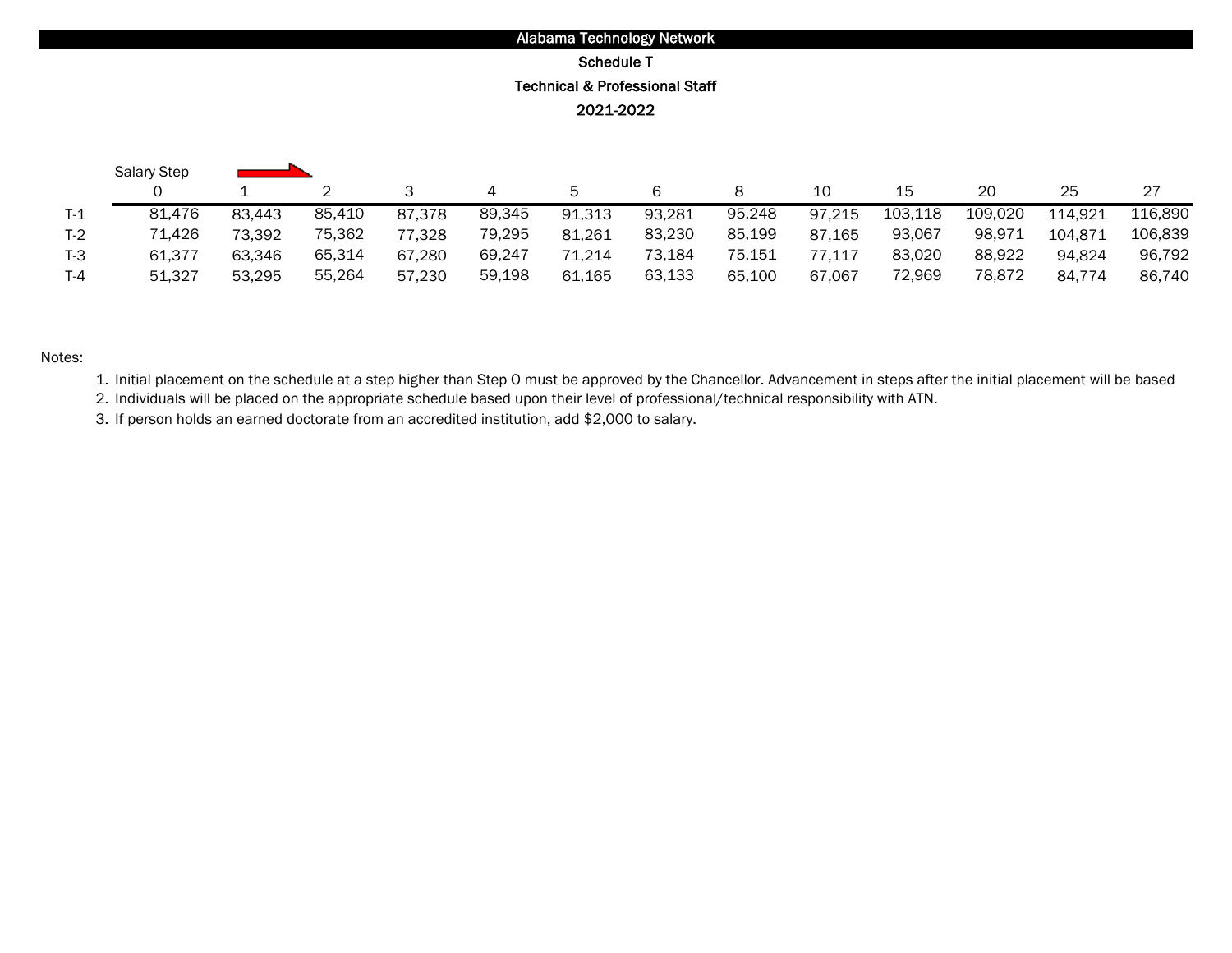# Alabama Technology Network Schedule T Technical & Professional Staff 2021-2022

|         | <b>Salary Step</b> |        |        |        |        |        |        |        |        |         |         |         |         |
|---------|--------------------|--------|--------|--------|--------|--------|--------|--------|--------|---------|---------|---------|---------|
|         |                    |        |        |        |        | Б.     |        |        | 10     | 15      | 20      | 25      | 27      |
| $T-1$   | 81.476             | 83,443 | 85.410 | 87,378 | 89,345 | 91,313 | 93,281 | 95,248 | 97,215 | 103,118 | 109.020 | 114,921 | 116,890 |
| $T-2$   | 71,426             | 73.392 | 75,362 | 77.328 | 79,295 | 81,261 | 83,230 | 85,199 | 87.165 | 93,067  | 98,971  | 104.871 | 106,839 |
| $T-3$   | 61.377             | 63.346 | 65,314 | 67.280 | 69,247 | 71.214 | 73,184 | 75,151 | 77.117 | 83,020  | 88.922  | 94.824  | 96,792  |
| $T - 4$ | 51,327             | 53.295 | 55,264 | 57.230 | 59,198 | 61,165 | 63,133 | 65.100 | 67,067 | 72,969  | 78,872  | 84.774  | 86.740  |

#### Notes:

1. Initial placement on the schedule at a step higher than Step O must be approved by the Chancellor. Advancement in steps after the initial placement will be based

2. Individuals will be placed on the appropriate schedule based upon their level of professional/technical responsibility with ATN.

3. If person holds an earned doctorate from an accredited institution, add \$2,000 to salary.